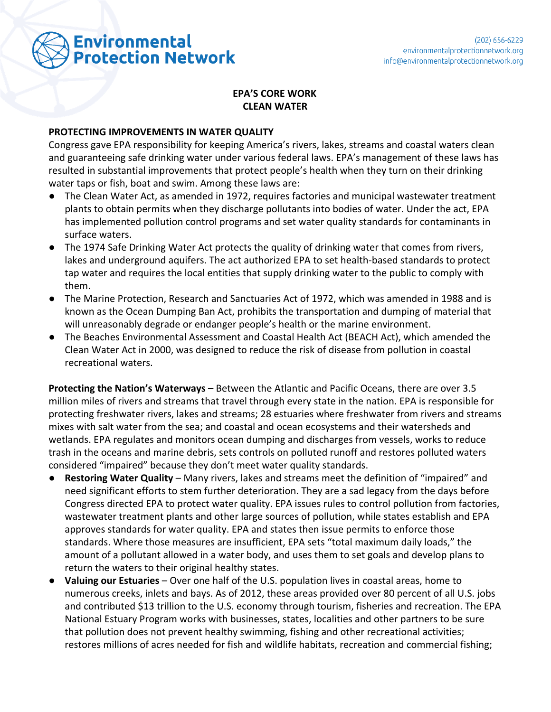

## **EPA'S CORE WORK CLEAN WATER**

## **PROTECTING IMPROVEMENTS IN WATER QUALITY**

Congress gave EPA responsibility for keeping America's rivers, lakes, streams and coastal waters clean and guaranteeing safe drinking water under various federal laws. EPA's management of these laws has resulted in substantial improvements that protect people's health when they turn on their drinking water taps or fish, boat and swim. Among these laws are:

- **●** The Clean Water Act, as amended in 1972, requires factories and municipal wastewater treatment plants to obtain permits when they discharge pollutants into bodies of water. Under the act, EPA has implemented pollution control programs and set water quality standards for contaminants in surface waters.
- **●** The 1974 Safe Drinking Water Act protects the quality of drinking water that comes from rivers, lakes and underground aquifers. The act authorized EPA to set health-based standards to protect tap water and requires the local entities that supply drinking water to the public to comply with them.
- **●** The Marine Protection, Research and Sanctuaries Act of 1972, which was amended in 1988 and is known as the Ocean Dumping Ban Act, prohibits the transportation and dumping of material that will unreasonably degrade or endanger people's health or the marine environment.
- **●** The Beaches Environmental Assessment and Coastal Health Act (BEACH Act), which amended the Clean Water Act in 2000, was designed to reduce the risk of disease from pollution in coastal recreational waters.

**Protecting the Nation's Waterways** – Between the Atlantic and Pacific Oceans, there are over 3.5 million miles of rivers and streams that travel through every state in the nation. EPA is responsible for protecting freshwater rivers, lakes and streams; 28 estuaries where freshwater from rivers and streams mixes with salt water from the sea; and coastal and ocean ecosystems and their watersheds and wetlands. EPA regulates and monitors ocean dumping and discharges from vessels, works to reduce trash in the oceans and marine debris, sets controls on polluted runoff and restores polluted waters considered "impaired" because they don't meet water quality standards.

- **Restoring Water Quality** Many rivers, lakes and streams meet the definition of "impaired" and need significant efforts to stem further deterioration. They are a sad legacy from the days before Congress directed EPA to protect water quality. EPA issues rules to control pollution from factories, wastewater treatment plants and other large sources of pollution, while states establish and EPA approves standards for water quality. EPA and states then issue permits to enforce those standards. Where those measures are insufficient, EPA sets "total maximum daily loads," the amount of a pollutant allowed in a water body, and uses them to set goals and develop plans to return the waters to their original healthy states.
- **Valuing our Estuaries** Over one half of the U.S. population lives in coastal areas, home to numerous creeks, inlets and bays. As of 2012, these areas provided over 80 percent of all U.S. jobs and contributed \$13 trillion to the U.S. economy through tourism, fisheries and recreation. The EPA National Estuary Program works with businesses, states, localities and other partners to be sure that pollution does not prevent healthy swimming, fishing and other recreational activities; restores millions of acres needed for fish and wildlife habitats, recreation and commercial fishing;